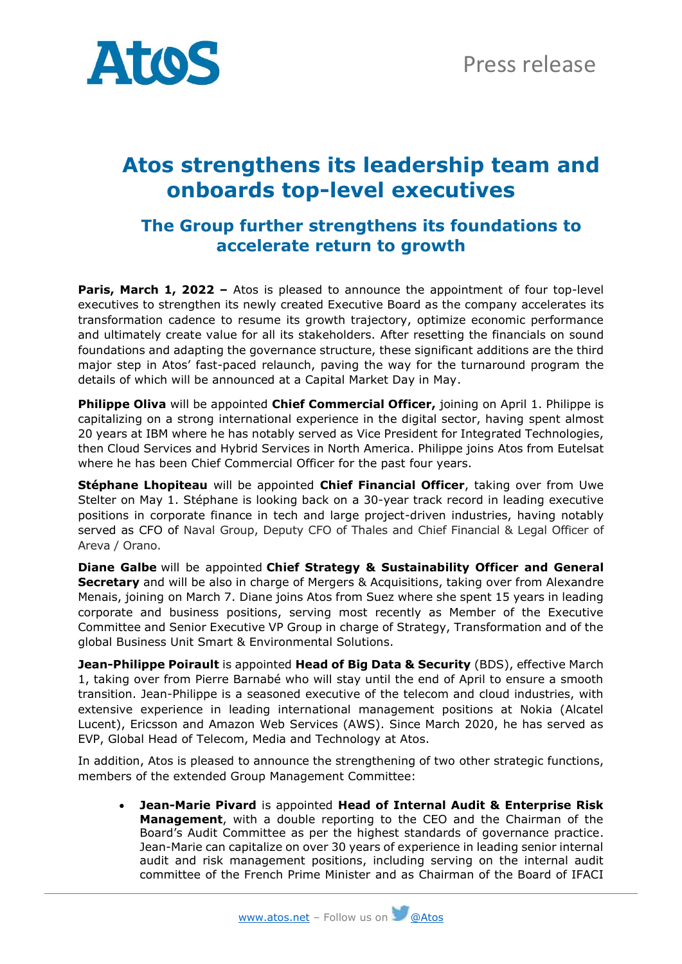

## **Atos strengthens its leadership team and onboards top-level executives**

## **The Group further strengthens its foundations to accelerate return to growth**

**Paris, March 1, 2022 –** Atos is pleased to announce the appointment of four top-level executives to strengthen its newly created Executive Board as the company accelerates its transformation cadence to resume its growth trajectory, optimize economic performance and ultimately create value for all its stakeholders. After resetting the financials on sound foundations and adapting the governance structure, these significant additions are the third major step in Atos' fast-paced relaunch, paving the way for the turnaround program the details of which will be announced at a Capital Market Day in May.

**Philippe Oliva** will be appointed **Chief Commercial Officer,** joining on April 1. Philippe is capitalizing on a strong international experience in the digital sector, having spent almost 20 years at IBM where he has notably served as Vice President for Integrated Technologies, then Cloud Services and Hybrid Services in North America. Philippe joins Atos from Eutelsat where he has been Chief Commercial Officer for the past four years.

**Stéphane Lhopiteau** will be appointed **Chief Financial Officer**, taking over from Uwe Stelter on May 1. Stéphane is looking back on a 30-year track record in leading executive positions in corporate finance in tech and large project-driven industries, having notably served as CFO of Naval Group, Deputy CFO of Thales and Chief Financial & Legal Officer of Areva / Orano.

**Diane Galbe** will be appointed **Chief Strategy & Sustainability Officer and General Secretary** and will be also in charge of Mergers & Acquisitions, taking over from Alexandre Menais, joining on March 7. Diane joins Atos from Suez where she spent 15 years in leading corporate and business positions, serving most recently as Member of the Executive Committee and Senior Executive VP Group in charge of Strategy, Transformation and of the global Business Unit Smart & Environmental Solutions.

**Jean-Philippe Poirault** is appointed **Head of Big Data & Security** (BDS), effective March 1, taking over from Pierre Barnabé who will stay until the end of April to ensure a smooth transition. Jean-Philippe is a seasoned executive of the telecom and cloud industries, with extensive experience in leading international management positions at Nokia (Alcatel Lucent), Ericsson and Amazon Web Services (AWS). Since March 2020, he has served as EVP, Global Head of Telecom, Media and Technology at Atos.

In addition, Atos is pleased to announce the strengthening of two other strategic functions, members of the extended Group Management Committee:

• **Jean-Marie Pivard** is appointed **Head of Internal Audit & Enterprise Risk Management**, with a double reporting to the CEO and the Chairman of the Board's Audit Committee as per the highest standards of governance practice. Jean-Marie can capitalize on over 30 years of experience in leading senior internal audit and risk management positions, including serving on the internal audit committee of the French Prime Minister and as Chairman of the Board of IFACI